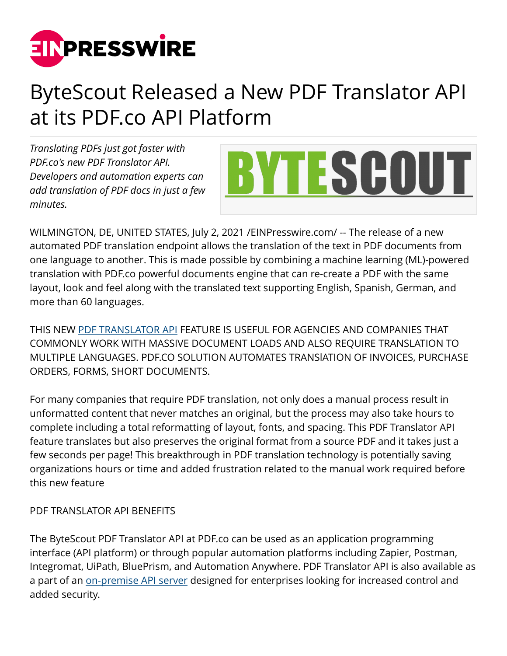

## ByteScout Released a New PDF Translator API at its PDF.co API Platform

*Translating PDFs just got faster with PDF.co's new PDF Translator API. Developers and automation experts can add translation of PDF docs in just a few minutes.* 



WILMINGTON, DE, UNITED STATES, July 2, 2021 /[EINPresswire.com/](http://www.einpresswire.com) -- The release of a new automated PDF translation endpoint allows the translation of the text in PDF documents from one language to another. This is made possible by combining a machine learning (ML)-powered translation with PDF.co powerful documents engine that can re-create a PDF with the same layout, look and feel along with the translated text supporting English, Spanish, German, and more than 60 languages.

THIS NEW [PDF TRANSLATOR API](https://pdf.co/pdf-translator-api) FEATURE IS USEFUL FOR AGENCIES AND COMPANIES THAT COMMONLY WORK WITH MASSIVE DOCUMENT LOADS AND ALSO REQUIRE TRANSLATION TO MULTIPLE LANGUAGES. PDF.CO SOLUTION AUTOMATES TRANSlATION OF INVOICES, PURCHASE ORDERS, FORMS, SHORT DOCUMENTS.

For many companies that require PDF translation, not only does a manual process result in unformatted content that never matches an original, but the process may also take hours to complete including a total reformatting of layout, fonts, and spacing. This PDF Translator API feature translates but also preserves the original format from a source PDF and it takes just a few seconds per page! This breakthrough in PDF translation technology is potentially saving organizations hours or time and added frustration related to the manual work required before this new feature

## PDF TRANSLATOR API BENEFITS

The ByteScout PDF Translator API at PDF.co can be used as an application programming interface (API platform) or through popular automation platforms including Zapier, Postman, Integromat, UiPath, BluePrism, and Automation Anywhere. PDF Translator API is also available as a part of an [on-premise API server](https://bytescout.com/products/developer/cloudapiserver/index.html) designed for enterprises looking for increased control and added security.